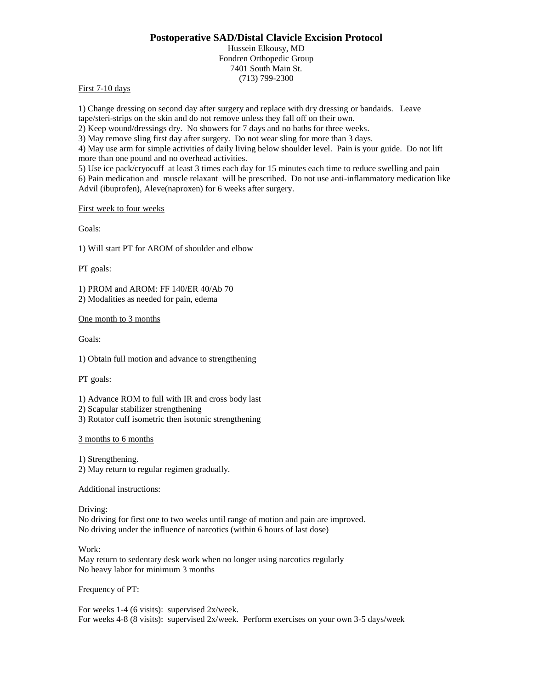# **Postoperative SAD/Distal Clavicle Excision Protocol**

Hussein Elkousy, MD Fondren Orthopedic Group 7401 South Main St. (713) 799-2300

### First 7-10 days

1) Change dressing on second day after surgery and replace with dry dressing or bandaids. Leave tape/steri-strips on the skin and do not remove unless they fall off on their own.

2) Keep wound/dressings dry. No showers for 7 days and no baths for three weeks.

3) May remove sling first day after surgery. Do not wear sling for more than 3 days.

4) May use arm for simple activities of daily living below shoulder level. Pain is your guide. Do not lift more than one pound and no overhead activities.

5) Use ice pack/cryocuff at least 3 times each day for 15 minutes each time to reduce swelling and pain 6) Pain medication and muscle relaxant will be prescribed. Do not use anti-inflammatory medication like Advil (ibuprofen), Aleve(naproxen) for 6 weeks after surgery.

#### First week to four weeks

Goals:

1) Will start PT for AROM of shoulder and elbow

PT goals:

1) PROM and AROM: FF 140/ER 40/Ab 70 2) Modalities as needed for pain, edema

One month to 3 months

Goals:

1) Obtain full motion and advance to strengthening

PT goals:

1) Advance ROM to full with IR and cross body last

2) Scapular stabilizer strengthening

3) Rotator cuff isometric then isotonic strengthening

#### 3 months to 6 months

1) Strengthening. 2) May return to regular regimen gradually.

Additional instructions:

Driving:

No driving for first one to two weeks until range of motion and pain are improved. No driving under the influence of narcotics (within 6 hours of last dose)

Work:

May return to sedentary desk work when no longer using narcotics regularly No heavy labor for minimum 3 months

Frequency of PT:

For weeks 1-4 (6 visits): supervised 2x/week. For weeks 4-8 (8 visits): supervised 2x/week. Perform exercises on your own 3-5 days/week